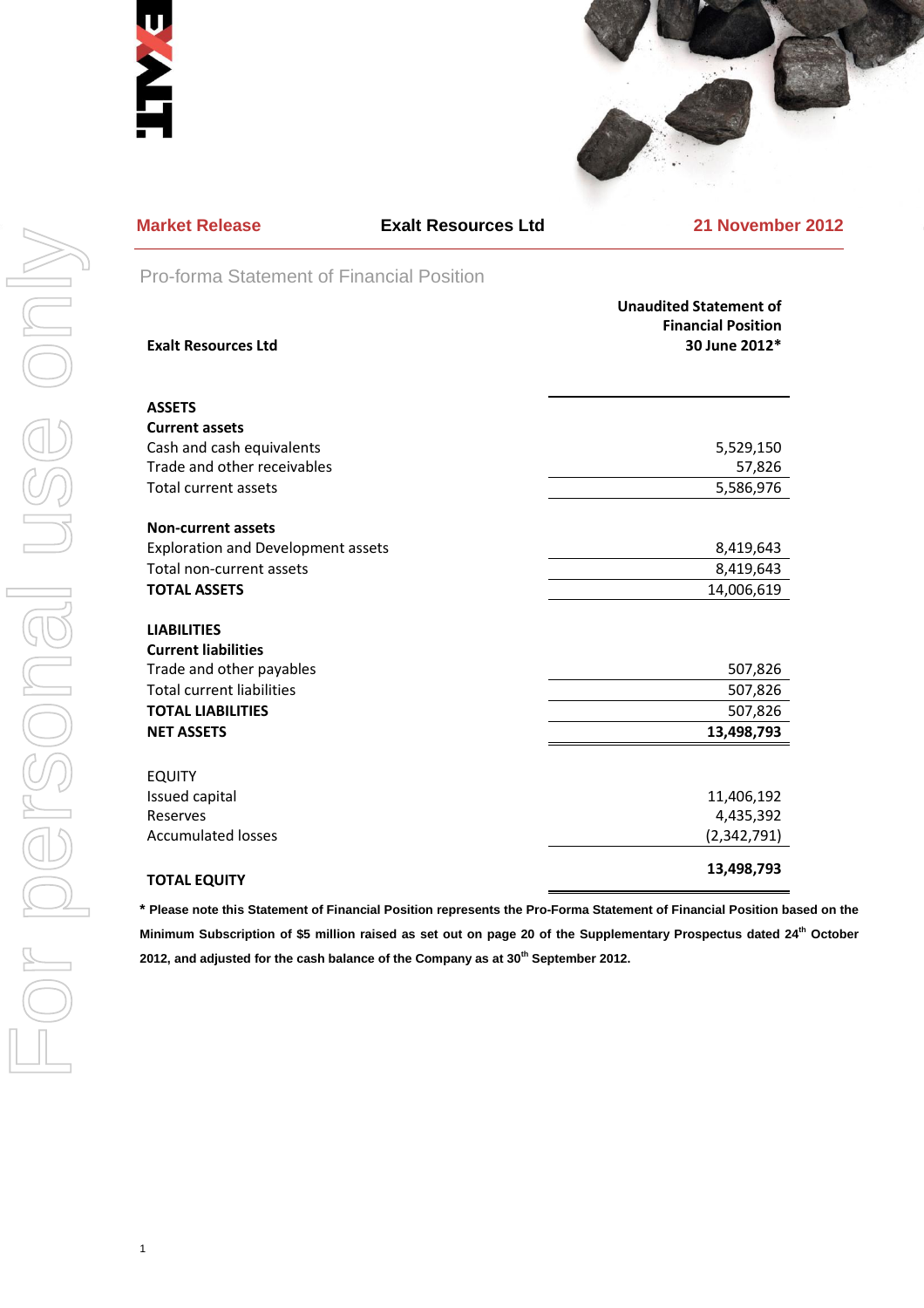



| <b>Market Release</b>                                        | Е |
|--------------------------------------------------------------|---|
| Pro-forma Statement of Finano                                |   |
| <b>Exalt Resources Ltd</b>                                   |   |
| <b>ASSETS</b>                                                |   |
| <b>Current assets</b>                                        |   |
| Cash and cash equivalents<br>Trade and other receivables     |   |
| <b>Total current assets</b>                                  |   |
| <b>Non-current assets</b>                                    |   |
| <b>Exploration and Development assets</b>                    |   |
| Total non-current assets                                     |   |
| <b>TOTAL ASSETS</b>                                          |   |
| <b>LIABILITIES</b>                                           |   |
| <b>Current liabilities</b>                                   |   |
| Trade and other payables                                     |   |
| <b>Total current liabilities</b><br><b>TOTAL LIABILITIES</b> |   |
| <b>NET ASSETS</b>                                            |   |
| <b>EQUITY</b>                                                |   |
| Issued capital                                               |   |
| Reserves                                                     |   |
| <b>Accumulated losses</b>                                    |   |
| <b>TOTAL EQUITY</b>                                          |   |
| * Please note this Statement of Financial P                  |   |
| Minimum Subscription of \$5 million raise                    |   |
| 2012, and adjusted for the cash balance of                   |   |
|                                                              |   |
|                                                              |   |
|                                                              |   |

1

| <b>Market Release</b>                     | <b>Exalt Resources Ltd</b> | <b>21 November 2012</b>                                                     |  |
|-------------------------------------------|----------------------------|-----------------------------------------------------------------------------|--|
| Pro-forma Statement of Financial Position |                            |                                                                             |  |
| <b>Exalt Resources Ltd</b>                |                            | <b>Unaudited Statement of</b><br><b>Financial Position</b><br>30 June 2012* |  |
| <b>ASSETS</b>                             |                            |                                                                             |  |
| <b>Current assets</b>                     |                            |                                                                             |  |
| Cash and cash equivalents                 |                            | 5,529,150                                                                   |  |
| Trade and other receivables               |                            | 57,826                                                                      |  |
| Total current assets                      |                            | 5,586,976                                                                   |  |
| <b>Non-current assets</b>                 |                            |                                                                             |  |
| <b>Exploration and Development assets</b> |                            | 8,419,643                                                                   |  |
| Total non-current assets                  |                            | 8,419,643                                                                   |  |
| <b>TOTAL ASSETS</b>                       |                            | 14,006,619                                                                  |  |
| <b>LIABILITIES</b>                        |                            |                                                                             |  |
| <b>Current liabilities</b>                |                            |                                                                             |  |
| Trade and other payables                  |                            | 507,826                                                                     |  |
| <b>Total current liabilities</b>          |                            | 507,826                                                                     |  |
| <b>TOTAL LIABILITIES</b>                  |                            | 507,826                                                                     |  |
| <b>NET ASSETS</b>                         |                            | 13,498,793                                                                  |  |
| <b>EQUITY</b>                             |                            |                                                                             |  |
| Issued capital                            |                            | 11,406,192                                                                  |  |
| Reserves                                  |                            | 4,435,392                                                                   |  |
| <b>Accumulated losses</b>                 |                            | (2,342,791)                                                                 |  |
| <b>TOTAL EQUITY</b>                       |                            | 13,498,793                                                                  |  |

**Position represents the Pro-Forma Statement of Financial Position based on the Minimum Subscription of \$5 million raised as set out on page 20 of the Supplementary Prospectus dated 24th October 2012, and adjusted for the cash balance of the Company as at 30th September 2012.**